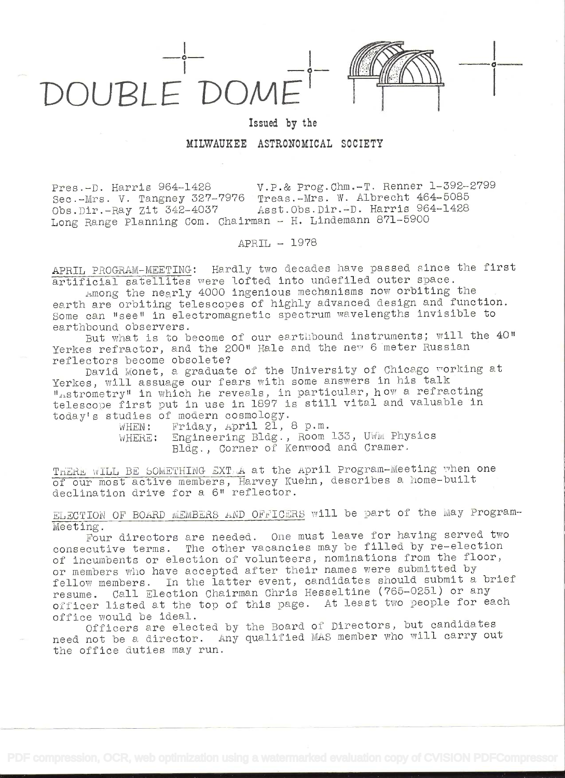

Issued by the

## MILWAUKEE ASTRONOMICAL SOCIETY

V.P.& Prog.Chm.-T. Renner 1-392-2799 Pres.-D. Harris 964-1428 Sec.-Mrs. V. Tangney 327-7976 Treas.-Mrs. W. Albrecht 464-5085 Asst. Obs. Dir. - D. Harris 964-1428 Obs.Dir.-Ray Zit 342-4037 Long Range Planning Com. Chairman - H. Lindemann 871-5900

APRIL - 1978

APRIL PROGRAM-MEETING: Hardly two decades have passed since the first artificial satellites were lofted into undefiled outer space.

Among the nearly 4000 ingenious mechanisms now orbiting the earth are orbiting telescopes of highly advanced design and function. Some can "see" in electromagnetic spectrum wavelengths invisible to earthbound observers.

But what is to become of our earthbound instruments; will the 40" Yerkes refractor, and the 200" Hale and the new 6 meter Russian reflectors become obsolete?

David Monet, a graduate of the University of Chicago working at Yerkes, will assuage our fears with some answers in his talk ""strometry" in which he reveals, in particular, how a refracting telescope first put in use in 1897 is still vital and valuable in today's studies of modern cosmology.

Friday, April 21, 8 p.m. WHEN: Engineering Bldg., Room 133, UWM Physics WHERE: Bldg., Corner of Kenwood and Cramer.

THERE WILL BE SOMETHING EXT A at the April Program-Meeting when one of our most active members, Harvey Kuehn, describes a home-built declination drive for a 6" reflector.

ELECTION OF BOARD MEMBERS AND OFFICERS will be part of the May Program-Meeting.

Four directors are needed. One must leave for having served two consecutive terms. The other vacancies may be filled by re-election of incumbents or election of volunteers, nominations from the floor, or members who have accepted after their names were submitted by fellow members. In the latter event, candidates should submit a brief resume. Call Election Chairman Chris Hesseltine (765-0251) or any officer listed at the top of this page. At least two people for each office would be ideal.

Officers are elected by the Board of Directors, but candidates need not be a director. Any qualified MAS member who will carry out the office duties may run.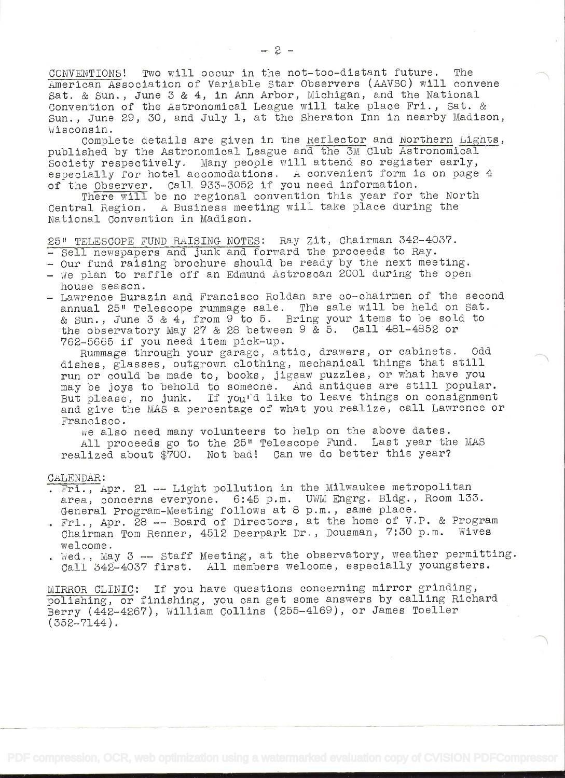CONVENTIONS! Two will occur in the not-too-distant future. The merican Association of Variable Star Observers (AAVso) will convene Sat. & Sun., June 3 & 4, in Ann Arbor, Michigan, and the National Convention of the Astronomical League will take place Fri., Sat. & Sun., June 29, 30, and July 1, at the Sheraton Inn in nearby Madison, Wisconsin.

Complete details are given in the Reflector and Northern Lights, published by the Astronomical League and the 3M Club Astronomical Society respectively. Many people will attend so register early, especially for hotel accomodations. A convenient form is on page  $4$ of the Observer. Call 933-3052 if you need information.

There will be no regional convention this year for the North Central Region. A Business meeting will take place during the National Convention in Madison.

25" TELESCOPE FUND RAISING- NOTES: Ray Zit, Chairman 342-4037.

- Sell newspapers and junk and forward the proceeds to Ray.
- Our fund raising brochure should be ready by the next meeting.
- We plan to raffle off an Edmund Astroscan 2001 during the open house season.
- Lawrence Burazin and Francisco Roldan are co-chairmen of the second annual 25" Telescope rummage sale. The sale will be held on Sat. & Sun., June 3 & 4, from 9 to 5. Bring your items to be sold to the observatory May 27 & 28 between 9 & 5. Call 481-4852 or 762-5665 if you need item pick-up.

Rummage through your garage, attic, drawers, or cabinets. Odd dishes, glasses, outgrown clothing, mechanical things that still run or could be made to, books, jigsaw puzzles, or what have you may be joys to behold to someone. And antiques are still popular. But please, no junk. If you'd like to leave things on consignment and give the MAS a percentage of what you realize, call Lawrence or Francisco.

ve also need many volunteers to help on the above dates. All proceeds go to the 25" Telescope Fund. Last year the MAS realized about \$700. Not bad! Can we do better this year?

CALENDAR

- . Fri., Apr. 21 -- Light pollution in the Milwaukee metropolitan area, concerns everyone. 6:45 p.m. UWM Engrg. Bldg., Room 133. General Program-Meeting follows at 8 p.m., same place.
- . Fri., Apr. 28 -- Board of Directors, at the home of V.P. & Program Chairman Tom Renner, 4512 Deerpark Dr. , Dousman, 7:30 p.m. Wives welcome.
- . Wed., May  $3 \rightarrow$  Staff Meeting, at the observatory, weather permitting. Call 342-4037 first. All members welcome, especially youngsters.

MIRROR CLINIC: If you have questions concerning mirror grinding, polishing, or finishing, you can get some answers by calling Richard Berry (442-426?), William Collins (255-4169), or James Toeller (352-7144).